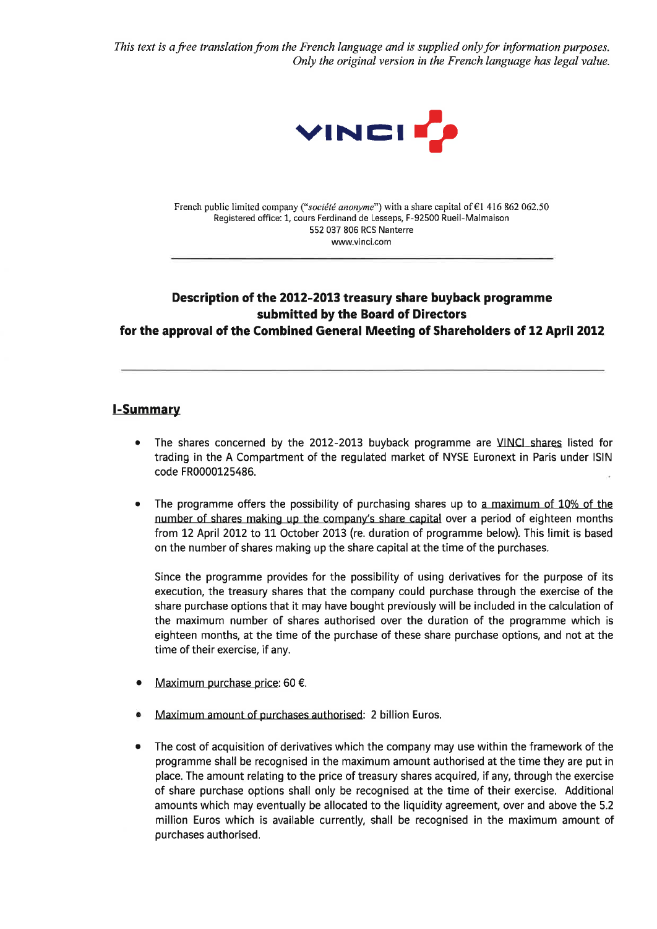This text is a free translation from the French language and is supplied only for information purposes. Only the original version in the French language has legal value.



French public limited company ("sociëtë anonyme") with a share capital of €l 416 862 062.50 Registered office: 1, cours Ferdinand de Lesseps, F-92500 Rueil-Malmaison 552 037 806 RCS Nanterre www.vinci.com

# Description of the 2012-2013 treasury share buyback programme submitted by the Board of Directors for the approval of the Combined General Meeting of Shareholders of 12 April 2012

## l-Summarv

- The shares concerned by the 2012-2013 buyback programme are VINCI shares listed for trading in the A Compartment of the regulated market of NYSE Euronext in Paris under lSlN code FR0000125486. a
- The programme offers the possibility of purchasing shares up to a maximum of 10% of the number of shares making up the company's share capital over a period of eighteen months from 12 April 2012 to 11 October 2013 (re. duration of programme below). This limit is based on the number of shares making up the share capital at the time of the purchases. a

Since the programme provides for the possibility of using derivatives for the purpose of its execution, the treasury shares that the company could purchase through the exercise of the share purchase options that it may have bought previously will be included in the calculation of the maximum number of shares authorised over the duration of the programme which is eighteen months, at the time of the purchase of these share purchase options, and not at the time of their exercise, if any.

- a Maximum purchase price: 60 €.
- Maximum amount of purchases authorised: 2 billion Euros.
- The cost of acquisition of derivatives which the company may use within the framework of the programme shall be recognised in the maximum amount authorised at the time they are put in place. The amount relating to the price of treasury shares acquired, if any, through the exercise of share purchase options shall only be recognised at the time of their exercise. Additional amounts which may eventually be allocated to the liquidity agreement, over and above the 5.2 million Euros which is available currently, shall be recognised in the maximum amount of purchases authorised. a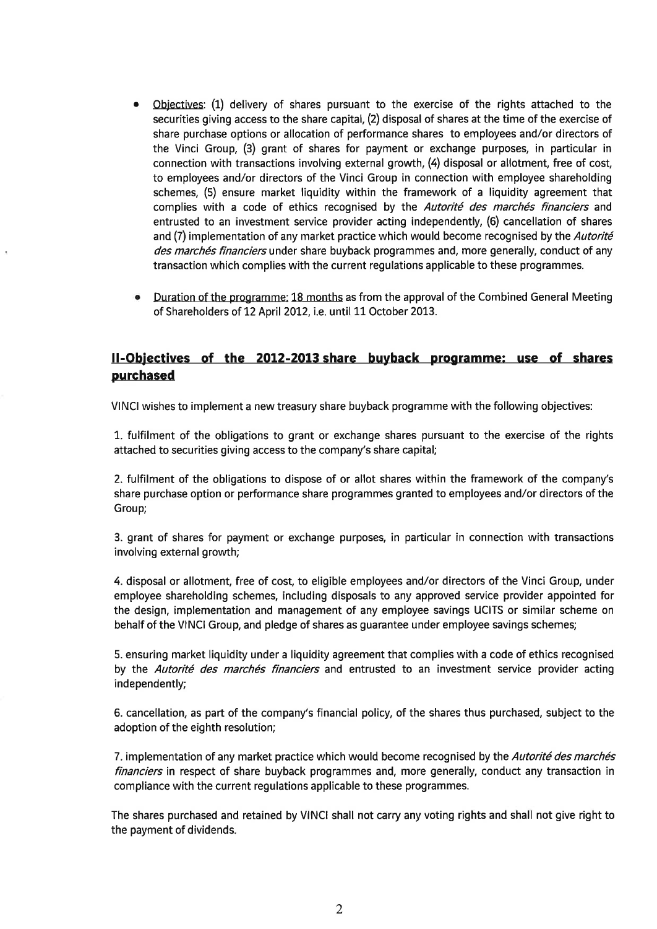- Objectives: (1) delivery of shares pursuant to the exercise of the rights attached to the securities giving access to the share capital, (2) disposal of shares at the time of the exercise of share purchase options or allocation of performance shares to employees and/or directors of the Vinci Group, (3) grant of shares for payment or exchange purposes, in particular in connection with transactions involving external growth, (4) disposal or allotment, free of cost, to employees and/or directors of the Vinci Group in connection with employee shareholding schemes, (5) ensure market liquidity within the framework of a liquidity agreement that complies with a code of ethics recognised by the Autorité des marchés financiers and entrusted to an investment seruice provider acting independently, (6) cancellation of shares and (7) implementation of any market practice which would become recognised by the Autorité des marchés financiers under share buyback programmes and, more generally, conduct of any transaction which complies with the current regulations applicable to these programmes.
- Duration of the programme: L8 months as from the approval of the Combined General Meeting of Shareholders of 12 April 2012, i.e. until 11 October 2013.

## ll-Obiectives of the 2012-2013 share buyback programme: use of shares purchased

VINCI wishes to implement a new treasury share buyback programme with the following objectives:

1. fulfilment of the obligations to grant or exchange shares pursuant to the exercise of the rights attached to securities giving access to the company's share capital;

2. fulfilment of the obligatíons to dispose of or allot shares within the framework of the company's share purchase option or performance share programmes granted to employees and/or directors of the Group;

3. grant of shares for payment or exchange purposes, in particular in connection with transactions involving external growth;

4. disposal or allotment, free of cost, to eligible employees and/or directors of the Vinci Group, under employee shareholding schemes, including disposals to any approved service provider appointed for the design, implementation and management of any employee savings UCITS or similar scheme on behalf of the VINCI Group, and pledge of shares as guarantee under employee savings schemes;

5. ensuring market liquidity under a liquidity agreement that complies with a code of ethics recognised by the Autorité des marchés financiers and entrusted to an investment service provider acting independently;

6. cancellation, as part of the company's financial policy, of the shares thus purchased, subject to the adoption of the eighth resolution;

7. implementation of any market practice which would become recognised by the Autorité des marchés financiers in respect of share buyback programmes and, more generally, conduct any transaction in compliance with the current regulations applicable to these programmes.

The shares purchased and retained by VINCI shall not carry any voting rights and shall not give right to the payment of dividends.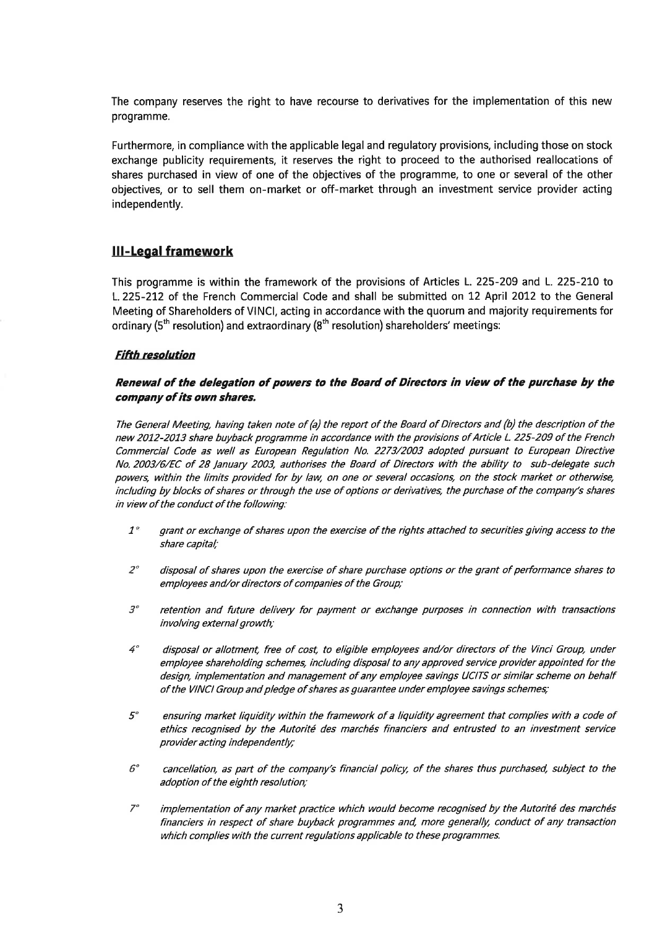The company reserves the right to have recourse to derivatives for the implementation of this new programme.

Furthermore, in compliance with the applicable legal and regulatory provisions, including those on stock exchange publicity requirements, it reserves the right to proceed to the authorised reallocations of shares purchased in view of one of the objectives of the programme, to one or several of the other objectives, or to sell them on-market or off-market through an investment service provider acting independently.

## III-Legal framework

This programme is within the framework of the provisions of Articles L.225-209 and L. 225-210 to L. 225-212 of the French Commercial Code and shall be submitted on 12 April 2012 to the General Meeting of Shareholders of VlNCl, acting in accordance with the quorum and majority requirements for ordinary ( $5<sup>th</sup>$  resolution) and extraordinary ( $8<sup>th</sup>$  resolution) shareholders' meetings:

#### **Fifth resolution**

#### Renewal of the delegation of powers to the Board of Directors in view of the purchase by the company of its own shares.

The General Meeting, having taken note of (a) the report of the Board of Directors and (b) the description of the new 2012-2013 share buyback programme in accordance with the provisions of Article L. 225-209 of the French Commercial Code as well as European Regulation No. 2273/2003 adopted pursuant to European Directive No.2003/6/EC of 28 /anuary 2003, authorises the Board of Directors with the ability to sub-delegate such powers, within the limits provided for by law, on one or several occasions, on the stock market or otherwise, including by blocks of shares or through the use of options or derivatives, the purchase of the company's shares in view of the conduct of the following:

- grant or exchange of shares upon the exercise of the rights attached to securities giving access to the share capital,'  $1^\circ$
- disposal of shares upon the exercise of share purchase options or the grant of performance shares to employees and/or directors of companies of the Group,'  $2^{\circ}$
- retention and future delivery for payment or exchange purposes in connection with transactions involving external growth;  $\mathcal{S}^{\circ}$
- disposal or allotment, free of cost, to eligible employees and/or directors of the Vinci Group, under employee shareholdíng schemes, including disposal to any approved seruice provider appointed for the design, implementation and management of any employee savings UCITS or similar scheme on behalf of the VINCI Group and pledge of shares as guarantee under employee savings schemes;  $4<sup>°</sup>$
- ensuring market liquidity within the framework of a liquidity agreement that complies with a code of ethics recognised by the Autorité des marchés financiers and entrusted to an investment seruice provider acting independently;  $5^{\circ}$
- cancellation, as part of the company's financial policy, of the shares thus purchased, subject to the adoption of the eighth resolution;  $6^{\circ}$
- implementation of any merket prectice which would become recognised by the Autorité des marchés financiers in respect of share buyback programmes and, more generally, conduct of any transaction which complies with the current regulations applicable to these programmes.  $7<sup>o</sup>$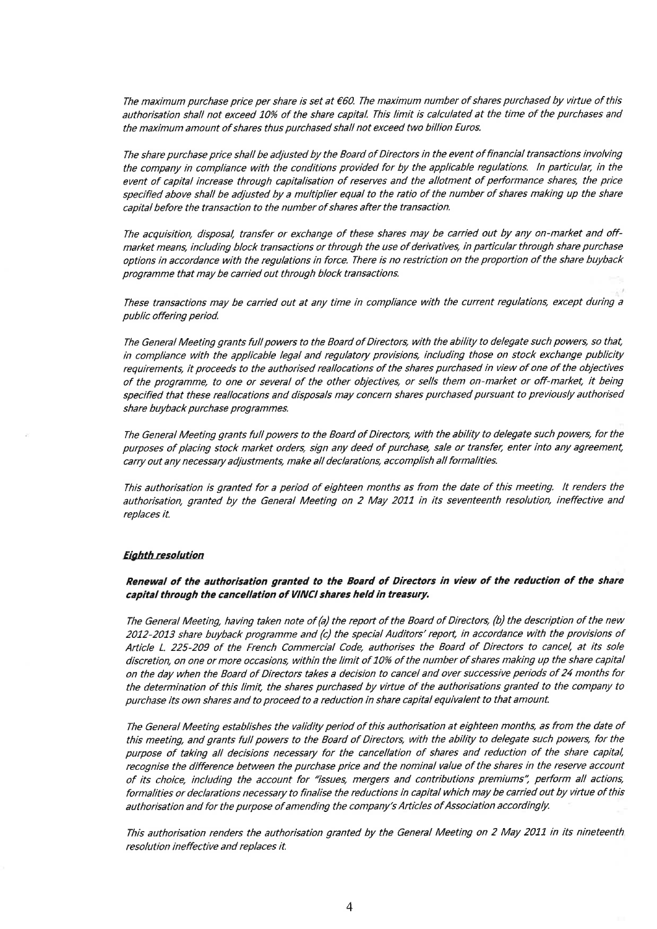The maximum purchase price per share is set at €60. The maximum number of shares purchased by virtue of this authorisation shall not exceed 10% of the share capital. This limit is calculated at the time of the purchases and the maximum amount of shares thus purchased shall not exceed two billion Euros.

The share purchase price shall be adjusted by the Board of Directors in the event offinancial transactions involving the company in compliance with the conditions provided for by the applicable regulations. ln particular, in the event of capital increase through capitalisation of reserves and the allotment of performance shares, the price specified above shall be adjusted by a multiplier equal to the ratio of the number of shares making up the share capital before the transaction to the number of shares after the transaction.

The acquisition, disposal, transfer or exchange of these shares may be carried out by any on-market and offmarket means, including block transactions or through the use of derivatives, in particular through share purchase options in accordance with the regulations in force. There is no restriction on the proportion of the share buyback programme that may be carried out through block transactions.

These transactions may be carried out at any time in compliance with the current regulations, except during a public offering period.

The General Meeting grants full powers to the Board of Directors, with the ability to delegate such powers, so that, in compliance with the applicable legal and regulatory provisions, including those on stock exchange publicity requirements, it proceeds to the authorised reallocations of the shares purchased in view of one of the objectives of the programme to one or several of the other objectives, or sells them on-market or off-market, it being specified that these reallocations and disposals may concern shares purchased pursuant to previously authorised share buyback purchase programmes.

The General Meeting grants full powers to the Board of Directors, with the ability to delegate such powers, for the purposes of placing stock market orders, sign any deed of purchase, sale or transfer, enter into any agreement, carry out any necessary adjustmentg make all declarations, accomplish all formalities.

This authorisation is granted for a period of eighteen months as from the date of this meeting. It renders the authorisation, granted by the General Meeting on 2 May 2011 in its seventeenth resolution, ineffective and replaces it.

#### **Eighth resolution**

Renewal of the authorisation granted to the Board of Directors in view of the reduction of the share capital through the cancellation of VINCI shares held in treasury.

The General Meeting, having taken note of (a) the report of the Board of Directors, (b) the description of the new 2012-2013 share buyback programme and (c) the special Auditors' report, in accordance with the provisions of Article L. 225-209 of the French Commercial Code, authorises the Board of Directors to cancel, at its sole discretion, on one or more occasions, withín the limit of 10% of the number of shares making up the share capital on the day when the Board of Directors takes a decision to cancel and over successive periods of 24 months for the determination of this limit the shares purchased by virtue of the authorisations granted to the company to purchase its own shares and to proceed to a reduction in share capital equivalent to that amount.

The General Meeting establishes the validity period of this authorisation at eighteen months, as from the date of this meeting, and grants full powers to the Board of Directors, with the ability to delegate such powers, for the purpose of taking all decisions necessery for the cancellation of shares and reduction of the share capital, recognise the difference between the purchase price and the nominal value of the shares in the reserve account of its choice, including the account for "issues, mergers and contributions premiums", perform all actions, formalities or declarations necessary to finalise the reductions in capital which may be carried out by virtue of this authorisation and for the purpose of amending the company's Articles of Association accordingly.

This authorisation renders the authorisation granted by the General Meeting on 2 May 2011 in its nineteenth resolution ineffective and replaces it.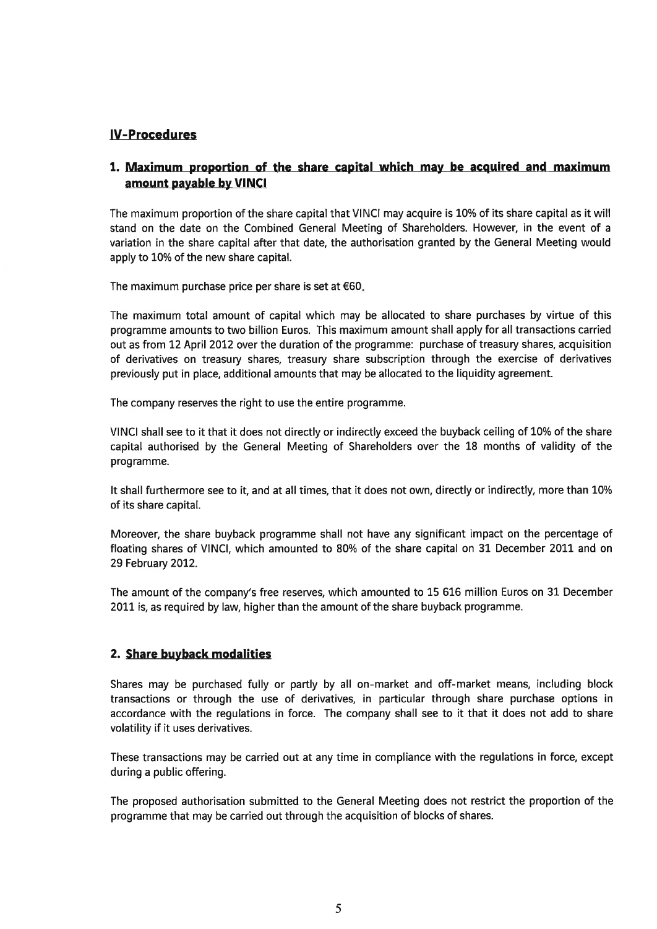## IV-Procedures

## 1. Maximum proportion of the share capital which may be acquired and maximum amount payable by VINCI

The maximum proportion of the share capital that VINCI may acquire is 10% of its share capital as it will stand on the date on the Combined General Meeting of Shareholders. However, in the event of <sup>a</sup> variation in the share capital after that date, the authorisation granted by the General Meeting would apply to 10% of the new share capital.

The maximum purchase price per share is set at  $€60$ .

The maximum total amount of capital which may be allocated to share purchases by virtue of this programme amounts to two billion Euros. This maximum amount shall apply for all transactions carried out as from 12 April 2012 over the duration of the programme: purchase of treasury shares, acquisition of derivatives on treasury shares, treasury share subscription through the exercise of derivatives previously put in place, additional amounts that may be allocated to the liquidity agreement.

The company reserves the right to use the entire programme.

VINCI shall see to it that it does not directly or indirectly exceed the buyback ceiling of 10% of the share capital authorised by the General Meeting of Shareholders over the 18 months of validity of the programme.

It shall fufthermore see to it, and at all times, that it does not own, directly or indirectly, more than 10% of its share capital.

Moreover, the share buyback programme shall not have any significant impact on the percentage of floating shares of VlNCl, which amounted to 80% of the share capital on 31 December 2011 and on 29 February 2012.

The amount of the company's free reserves, which amounted to 15 616 million Euros on 3L December 2011 is, as required by law, higher than the amount of the share buyback programme.

## 2. Share buyback modalities

Shares may be purchased fully or partly by all on-market and off-market means, including block transactions or through the use of derivatives, in particular through share purchase options in accordance with the regulations in force. The company shall see to it that it does not add to share volatility if it uses derivatives.

These transactions may be carried out at any time in compliance with the regulations in force, except during a public offering.

The proposed authorisation submitted to the General Meeting does not restrict the proportion of the programme that may be carried out through the acquisition of blocks of shares.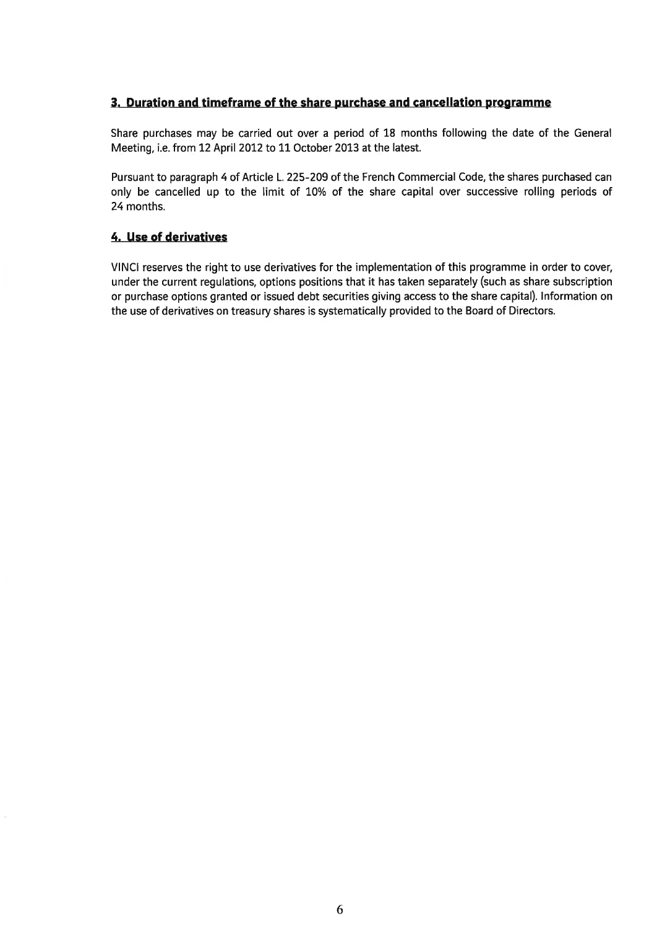#### 3. Duration and timeframe of the share purchase and cancellation programme

Share purchases may be carried out over a period of 18 months following the date of the General Meeting, i.e. from 12 April 2012 to 11 October 2013 at the latest.

Pursuant to paragraph 4 of Article L.225-209 of the French Commercial Code, the shares purchased can only be cancelled up to the limit of 10% of the share capital over successive rolling periods of 24 months.

#### 4. Use of derivatives

VINCI reserves the right to use derivatives for the implementation of this programme in order to cover, under the current regulations, options positions that it has taken separately (such as share subscription or purchase options granted or issued debt securities giving access to the share capital). lnformation on the use of derivatives on treasury shares is systematically provided to the Board of Directors.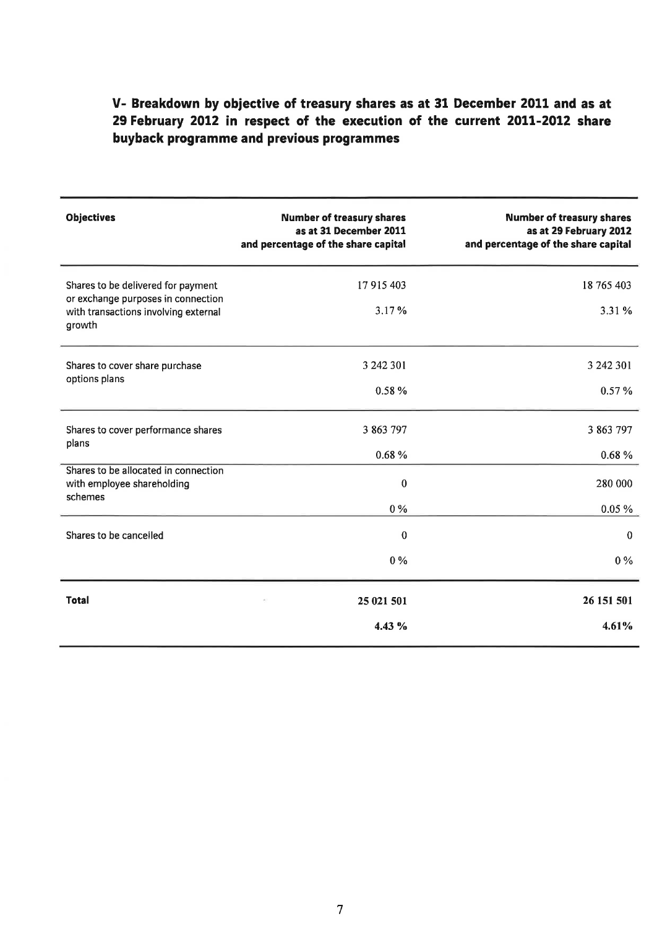# V- Breakdown by objective of treasury shares as at 31 December 2011 and as at 29 February 2012 in respect of the execution of the current 2011-2012 share buyback programme and previous programmes

| <b>Objectives</b>                                                                                                          | <b>Number of treasury shares</b><br>as at 31 December 2011<br>and percentage of the share capital | <b>Number of treasury shares</b><br>as at 29 February 2012<br>and percentage of the share capital |
|----------------------------------------------------------------------------------------------------------------------------|---------------------------------------------------------------------------------------------------|---------------------------------------------------------------------------------------------------|
| Shares to be delivered for payment<br>or exchange purposes in connection<br>with transactions involving external<br>growth | 17 915 403<br>3.17%                                                                               | 18 765 403<br>3.31 %                                                                              |
| Shares to cover share purchase<br>options plans                                                                            | 3 242 301<br>0.58%                                                                                | 3 242 301<br>0.57%                                                                                |
| Shares to cover performance shares<br>plans                                                                                | 3 863 797<br>0.68%                                                                                | 3 863 797<br>0.68%                                                                                |
| Shares to be allocated in connection<br>with employee shareholding<br>schemes                                              | $\bf{0}$<br>$0\%$                                                                                 | 280 000<br>0.05%                                                                                  |
| Shares to be cancelled                                                                                                     | $\mathbf{0}$<br>$0\%$                                                                             | $\mathbf{0}$<br>$0\%$                                                                             |
| <b>Total</b>                                                                                                               | 25 021 501<br>4.43%                                                                               | 26 151 501<br>4.61%                                                                               |